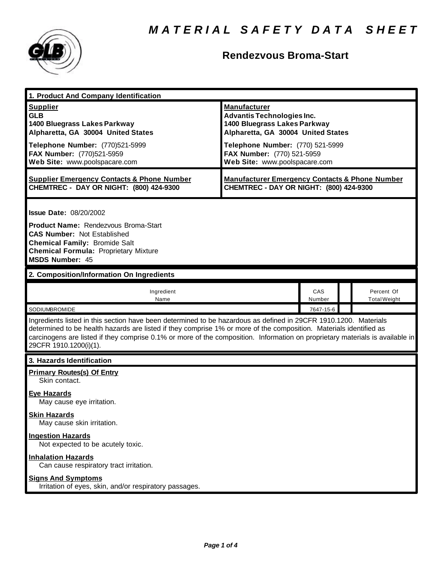

## **Rendezvous Broma-Start**

| 1. Product And Company Identification                                                                                                                                                                                                                                                                                                                                                             |                                                                                                                                                                                                  |               |  |                                   |  |
|---------------------------------------------------------------------------------------------------------------------------------------------------------------------------------------------------------------------------------------------------------------------------------------------------------------------------------------------------------------------------------------------------|--------------------------------------------------------------------------------------------------------------------------------------------------------------------------------------------------|---------------|--|-----------------------------------|--|
| <b>Supplier</b><br><b>GLB</b><br>1400 Bluegrass Lakes Parkway<br>Alpharetta, GA 30004 United States<br>Telephone Number: (770)521-5999<br>FAX Number: (770)521-5959                                                                                                                                                                                                                               | <b>Manufacturer</b><br><b>Advantis Technologies Inc.</b><br>1400 Bluegrass Lakes Parkway<br>Alpharetta, GA 30004 United States<br>Telephone Number: (770) 521-5999<br>FAX Number: (770) 521-5959 |               |  |                                   |  |
| Web Site: www.poolspacare.com                                                                                                                                                                                                                                                                                                                                                                     | Web Site: www.poolspacare.com                                                                                                                                                                    |               |  |                                   |  |
| <b>Supplier Emergency Contacts &amp; Phone Number</b><br>CHEMTREC - DAY OR NIGHT: (800) 424-9300                                                                                                                                                                                                                                                                                                  | <b>Manufacturer Emergency Contacts &amp; Phone Number</b><br>CHEMTREC - DAY OR NIGHT: (800) 424-9300                                                                                             |               |  |                                   |  |
| <b>Issue Date: 08/20/2002</b><br><b>Product Name: Rendezvous Broma-Start</b><br><b>CAS Number: Not Established</b><br><b>Chemical Family: Bromide Salt</b><br><b>Chemical Formula: Proprietary Mixture</b><br><b>MSDS Number: 45</b>                                                                                                                                                              |                                                                                                                                                                                                  |               |  |                                   |  |
| 2. Composition/Information On Ingredients                                                                                                                                                                                                                                                                                                                                                         |                                                                                                                                                                                                  |               |  |                                   |  |
| Ingredient<br>Name                                                                                                                                                                                                                                                                                                                                                                                |                                                                                                                                                                                                  | CAS<br>Number |  | Percent Of<br><b>Total Weight</b> |  |
| SODIUMBROMIDE                                                                                                                                                                                                                                                                                                                                                                                     |                                                                                                                                                                                                  | 7647-15-6     |  |                                   |  |
| Ingredients listed in this section have been determined to be hazardous as defined in 29CFR 1910.1200. Materials<br>determined to be health hazards are listed if they comprise 1% or more of the composition. Materials identified as<br>carcinogens are listed if they comprise 0.1% or more of the composition. Information on proprietary materials is available in<br>29CFR 1910.1200(i)(1). |                                                                                                                                                                                                  |               |  |                                   |  |
| 3. Hazards Identification                                                                                                                                                                                                                                                                                                                                                                         |                                                                                                                                                                                                  |               |  |                                   |  |
| <b>Primary Routes(s) Of Entry</b><br>Skin contact.                                                                                                                                                                                                                                                                                                                                                |                                                                                                                                                                                                  |               |  |                                   |  |
| <b>Eye Hazards</b><br>May cause eye irritation.                                                                                                                                                                                                                                                                                                                                                   |                                                                                                                                                                                                  |               |  |                                   |  |
| <u>Skin Hazards</u><br>May cause skin irritation.                                                                                                                                                                                                                                                                                                                                                 |                                                                                                                                                                                                  |               |  |                                   |  |
| <b>Ingestion Hazards</b><br>Not expected to be acutely toxic.                                                                                                                                                                                                                                                                                                                                     |                                                                                                                                                                                                  |               |  |                                   |  |
| <b>Inhalation Hazards</b><br>Can cause respiratory tract irritation.                                                                                                                                                                                                                                                                                                                              |                                                                                                                                                                                                  |               |  |                                   |  |
| <b>Signs And Symptoms</b><br>Irritation of eyes, skin, and/or respiratory passages.                                                                                                                                                                                                                                                                                                               |                                                                                                                                                                                                  |               |  |                                   |  |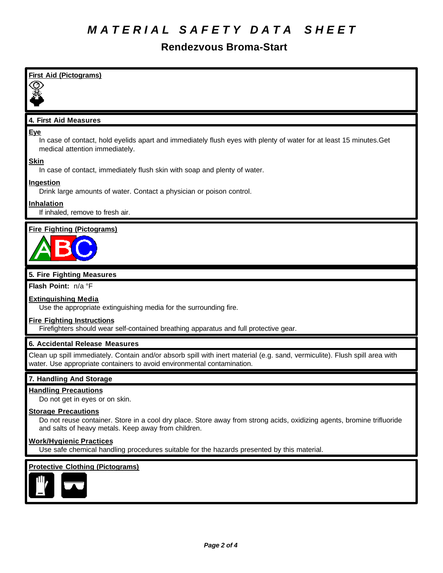# *M A T E R I A L S A F E T Y D A T A S H E E T*

## **Rendezvous Broma-Start**

| <b>First Aid (Pictograms)</b>                                                                                                                                                                               |
|-------------------------------------------------------------------------------------------------------------------------------------------------------------------------------------------------------------|
|                                                                                                                                                                                                             |
|                                                                                                                                                                                                             |
| 4. First Aid Measures                                                                                                                                                                                       |
|                                                                                                                                                                                                             |
| <b>Eye</b><br>In case of contact, hold eyelids apart and immediately flush eyes with plenty of water for at least 15 minutes. Get<br>medical attention immediately.                                         |
| <b>Skin</b><br>In case of contact, immediately flush skin with soap and plenty of water.                                                                                                                    |
| <b>Ingestion</b><br>Drink large amounts of water. Contact a physician or poison control.                                                                                                                    |
| Inhalation<br>If inhaled, remove to fresh air.                                                                                                                                                              |
| <b>Fire Fighting (Pictograms)</b>                                                                                                                                                                           |
|                                                                                                                                                                                                             |
| 5. Fire Fighting Measures                                                                                                                                                                                   |
| Flash Point: n/a °F                                                                                                                                                                                         |
| <b>Extinguishing Media</b><br>Use the appropriate extinguishing media for the surrounding fire.                                                                                                             |
| <b>Fire Fighting Instructions</b><br>Firefighters should wear self-contained breathing apparatus and full protective gear.                                                                                  |
| 6. Accidental Release Measures                                                                                                                                                                              |
| Clean up spill immediately. Contain and/or absorb spill with inert material (e.g. sand, vermiculite). Flush spill area with<br>water. Use appropriate containers to avoid environmental contamination.      |
| 7. Handling And Storage                                                                                                                                                                                     |
| <b>Handling Precautions</b><br>Do not get in eyes or on skin.                                                                                                                                               |
| <b>Storage Precautions</b><br>Do not reuse container. Store in a cool dry place. Store away from strong acids, oxidizing agents, bromine trifluoride<br>and salts of heavy metals. Keep away from children. |
| <b>Work/Hygienic Practices</b><br>Use safe chemical handling procedures suitable for the hazards presented by this material.                                                                                |

#### **Protective Clothing (Pictograms)**

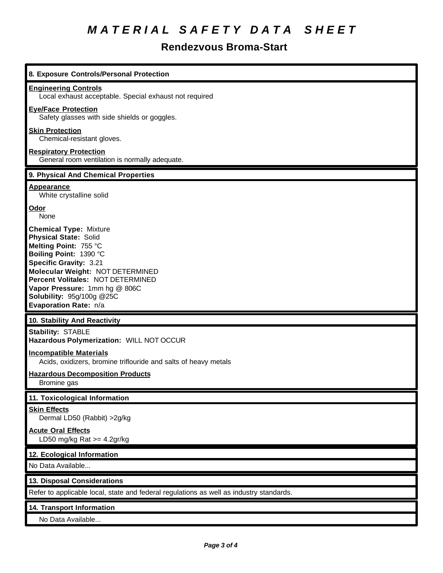# *M A T E R I A L S A F E T Y D A T A S H E E T*

## **Rendezvous Broma-Start**

| 8. Exposure Controls/Personal Protection                                                                                                                                                                                                                                                                                 |  |  |
|--------------------------------------------------------------------------------------------------------------------------------------------------------------------------------------------------------------------------------------------------------------------------------------------------------------------------|--|--|
| <b>Engineering Controls</b><br>Local exhaust acceptable. Special exhaust not required                                                                                                                                                                                                                                    |  |  |
| <b>Eye/Face Protection</b><br>Safety glasses with side shields or goggles.                                                                                                                                                                                                                                               |  |  |
| <b>Skin Protection</b><br>Chemical-resistant gloves.                                                                                                                                                                                                                                                                     |  |  |
| <b>Respiratory Protection</b><br>General room ventilation is normally adequate.                                                                                                                                                                                                                                          |  |  |
| 9. Physical And Chemical Properties                                                                                                                                                                                                                                                                                      |  |  |
| <b>Appearance</b><br>White crystalline solid                                                                                                                                                                                                                                                                             |  |  |
| Odor<br>None                                                                                                                                                                                                                                                                                                             |  |  |
| <b>Chemical Type: Mixture</b><br><b>Physical State: Solid</b><br>Melting Point: 755 °C<br>Boiling Point: 1390 °C<br><b>Specific Gravity: 3.21</b><br>Molecular Weight: NOT DETERMINED<br>Percent Volitales: NOT DETERMINED<br>Vapor Pressure: 1mm hg @ 806C<br><b>Solubility: 95g/100g @25C</b><br>Evaporation Rate: n/a |  |  |
| 10. Stability And Reactivity                                                                                                                                                                                                                                                                                             |  |  |
| <b>Stability: STABLE</b><br>Hazardous Polymerization: WILL NOT OCCUR                                                                                                                                                                                                                                                     |  |  |
| <b>Incompatible Materials</b><br>Acids, oxidizers, bromine triflouride and salts of heavy metals                                                                                                                                                                                                                         |  |  |
| <b>Hazardous Decomposition Products</b><br>Bromine gas                                                                                                                                                                                                                                                                   |  |  |
| 11. Toxicological Information                                                                                                                                                                                                                                                                                            |  |  |
| <b>Skin Effects</b><br>Dermal LD50 (Rabbit) > 2g/kg                                                                                                                                                                                                                                                                      |  |  |
| <b>Acute Oral Effects</b><br>LD50 mg/kg Rat $>=$ 4.2gr/kg                                                                                                                                                                                                                                                                |  |  |
| 12. Ecological Information                                                                                                                                                                                                                                                                                               |  |  |
| No Data Available                                                                                                                                                                                                                                                                                                        |  |  |
| 13. Disposal Considerations                                                                                                                                                                                                                                                                                              |  |  |
| Refer to applicable local, state and federal regulations as well as industry standards.                                                                                                                                                                                                                                  |  |  |
|                                                                                                                                                                                                                                                                                                                          |  |  |
| 14. Transport Information                                                                                                                                                                                                                                                                                                |  |  |